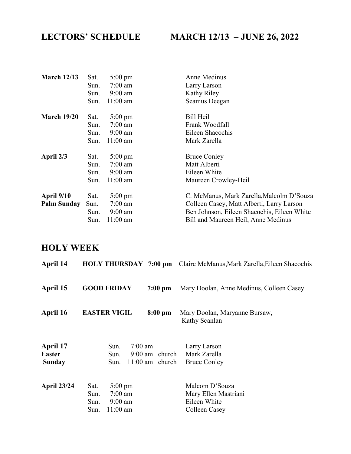## LECTORS' SCHEDULE MARCH 12/13 – JUNE 26, 2022

| <b>March 12/13</b> | Sat. | $5:00 \text{ pm}$  | Anne Medinus                                |
|--------------------|------|--------------------|---------------------------------------------|
|                    | Sun. | $7:00$ am          | Larry Larson                                |
|                    | Sun. | $9:00$ am          | Kathy Riley                                 |
|                    | Sun. | $11:00$ am         | Seamus Deegan                               |
| <b>March 19/20</b> | Sat. | $5:00 \text{ pm}$  | Bill Heil                                   |
|                    | Sun. | $7:00$ am          | Frank Woodfall                              |
|                    | Sun. | $9:00 \text{ am}$  | Eileen Shacochis                            |
|                    | Sun. | $11:00$ am         | Mark Zarella                                |
| April 2/3          | Sat. | $5:00 \text{ pm}$  | <b>Bruce Conley</b>                         |
|                    | Sun. | $7:00$ am          | Matt Alberti                                |
|                    | Sun. | $9:00$ am          | Eileen White                                |
|                    | Sun. | $11:00 \text{ am}$ | Maureen Crowley-Heil                        |
| <b>April 9/10</b>  | Sat. | $5:00 \text{ pm}$  | C. McManus, Mark Zarella, Malcolm D'Souza   |
| <b>Palm Sunday</b> | Sun. | $7:00$ am          | Colleen Casey, Matt Alberti, Larry Larson   |
|                    | Sun. | $9:00$ am          | Ben Johnson, Eileen Shacochis, Eileen White |
|                    | Sun. | $11:00$ am         | Bill and Maureen Heil, Anne Medinus         |

### HOLY WEEK

| April 14                                   |                                                                                           |                                                            | <b>HOLY THURSDAY 7:00 pm</b> Claire McManus, Mark Zarella, Eileen Shacochis |
|--------------------------------------------|-------------------------------------------------------------------------------------------|------------------------------------------------------------|-----------------------------------------------------------------------------|
| April 15                                   | <b>GOOD FRIDAY</b>                                                                        | $7:00$ pm                                                  | Mary Doolan, Anne Medinus, Colleen Casey                                    |
| April 16                                   | <b>EASTER VIGIL</b>                                                                       | $8:00$ pm                                                  | Mary Doolan, Maryanne Bursaw,<br>Kathy Scanlan                              |
| April 17<br><b>Easter</b><br><b>Sunday</b> | Sun.<br>Sun.<br>Sun.                                                                      | $7:00 \text{ am}$<br>$9:00$ am church<br>$11:00$ am church | Larry Larson<br>Mark Zarella<br><b>Bruce Conley</b>                         |
| <b>April 23/24</b>                         | $5:00 \text{ pm}$<br>Sat.<br>$7:00$ am<br>Sun.<br>$9:00$ am<br>Sun.<br>$11:00$ am<br>Sun. |                                                            | Malcom D'Souza<br>Mary Ellen Mastriani<br>Eileen White<br>Colleen Casey     |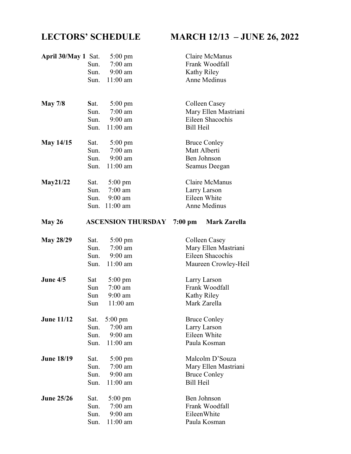# LECTORS' SCHEDULE MARCH 12/13 – JUNE 26, 2022

| April 30/May 1 Sat. |      | $5:00 \text{ pm}$         | Claire McManus                     |
|---------------------|------|---------------------------|------------------------------------|
|                     | Sun. | $7:00$ am                 | Frank Woodfall                     |
|                     | Sun. | $9:00$ am                 | Kathy Riley                        |
|                     |      | Sun. 11:00 am             | <b>Anne Medinus</b>                |
|                     |      |                           |                                    |
|                     |      |                           |                                    |
| May $7/8$           | Sat. | $5:00 \text{ pm}$         | Colleen Casey                      |
|                     | Sun. | $7:00$ am                 | Mary Ellen Mastriani               |
|                     | Sun. | $9:00$ am                 | Eileen Shacochis                   |
|                     | Sun. | $11:00$ am                | <b>Bill Heil</b>                   |
| <b>May 14/15</b>    | Sat. | $5:00 \text{ pm}$         | <b>Bruce Conley</b>                |
|                     | Sun. | $7:00$ am                 | Matt Alberti                       |
|                     | Sun. | $9:00$ am                 | Ben Johnson                        |
|                     |      | Sun. 11:00 am             | Seamus Deegan                      |
| May21/22            | Sat. | $5:00 \text{ pm}$         | Claire McManus                     |
|                     | Sun. | $7:00$ am                 | Larry Larson                       |
|                     |      | Sun. 9:00 am              | Eileen White                       |
|                     |      | Sun. 11:00 am             | Anne Medinus                       |
|                     |      |                           |                                    |
| May $26$            |      | <b>ASCENSION THURSDAY</b> | $7:00~\mathrm{pm}$<br>Mark Zarella |
|                     |      |                           |                                    |
| <b>May 28/29</b>    | Sat. | 5:00 pm                   | Colleen Casey                      |
|                     | Sun. | $7:00$ am                 | Mary Ellen Mastriani               |
|                     | Sun. | $9:00$ am                 | Eileen Shacochis                   |
|                     | Sun. | $11:00$ am                | Maureen Crowley-Heil               |
| June 4/5            | Sat  | $5:00 \text{ pm}$         | Larry Larson                       |
|                     | Sun  | $7:00$ am                 | Frank Woodfall                     |
|                     | Sun  | $9:00$ am                 | Kathy Riley                        |
|                     | Sun  | $11:00$ am                | Mark Zarella                       |
| <b>June 11/12</b>   | Sat. | $5:00 \text{ pm}$         | <b>Bruce Conley</b>                |
|                     | Sun. | $7:00$ am                 | Larry Larson                       |
|                     | Sun. | $9:00$ am                 | Eileen White                       |
|                     | Sun. | $11:00$ am                | Paula Kosman                       |
|                     |      |                           |                                    |
| <b>June 18/19</b>   | Sat. | $5:00 \text{ pm}$         | Malcolm D'Souza                    |
|                     | Sun. | $7:00$ am                 | Mary Ellen Mastriani               |
|                     | Sun. | $9:00$ am                 | <b>Bruce Conley</b>                |
|                     | Sun. | $11:00$ am                | <b>Bill Heil</b>                   |
| <b>June 25/26</b>   | Sat. | 5:00 pm                   | Ben Johnson                        |
|                     | Sun. | $7:00$ am                 | Frank Woodfall                     |
|                     | Sun. | $9:00$ am                 | EileenWhite                        |
|                     | Sun. | $11:00$ am                | Paula Kosman                       |
|                     |      |                           |                                    |